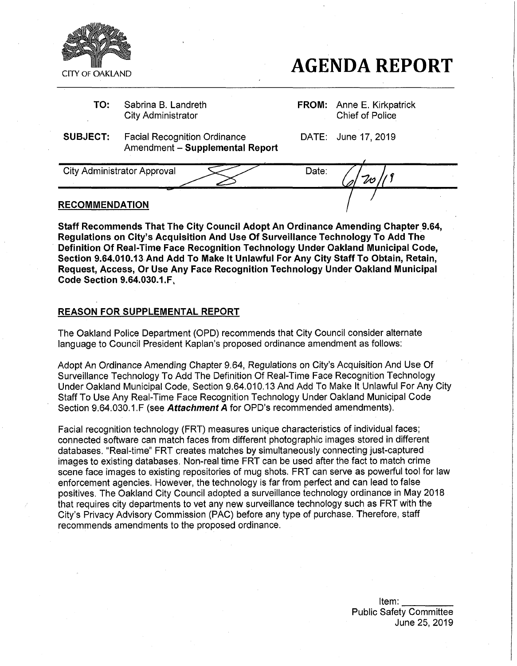

# **AGENDA REPORT**

**TO:** Sabrina B. Landreth City Administrator

**FROM:** Anne E. Kirkpatrick Chief of Police

**SUBJECT:** Facial Recognition Ordinance Amendment - **Supplemental Report** DATE: June 17,2019

City Administrator Approval Date: / **RECOMMENDATION**

**Staff Recommends That The City Council Adopt An Ordinance Amending Chapter 9.64, Regulations on City's Acquisition And Use Of Surveillance Technology To Add The Definition Of Real-Time Face Recognition Technology Under Oakland Municipal Code, Section 9.64.010.13 And Add To Make It Unlawful For Any City Staff To Obtain, Retain, Request, Access, Or Use Any Face Recognition Technology Under Oakland Municipal Code Section 9.64.030.1.F,**

# REASON FOR SUPPLEMENTAL REPORT

The Oakland Police Department (OPD) recommends that City Council consider alternate language to Council President Kaplan's proposed ordinance amendment as follows:

Adopt An Ordinance Amending Chapter 9.64, Regulations on City's Acquisition And Use Of Surveillance Technology To Add The Definition Of Real-Time Face Recognition Technology Under Oakland Municipal Code, Section 9.64.010.13 And Add To Make It Unlawful For Any City Staff To Use Any Real-Time Face Recognition Technology Under Oakland Municipal Code Section 9.64.030.1.F (see *Attachment A tor* OPD's recommended amendments).

Facial recognition technology (FRT) measures unique characteristics of individual faces; connected software can match faces from different photographic images stored in different databases. "Real-time" FRT creates matches by simultaneously connecting just-captured images to existing databases. Non-real time FRT can be used after the fact to match crime scene face images to existing repositories of mug shots. FRT can serve as powerful tool for law enforcement agencies. However, the technology is far from perfect and can lead to false positives. The Oakland City Council adopted a surveillance technology ordinance in May 2018 that requires city departments to vet any new surveillance technology such as FRT with the City's Privacy Advisory Commission (PAC) before any type of purchase. Therefore, staff recommends amendments to the proposed ordinance.

> Item: Public Safety Committee June 25, 2019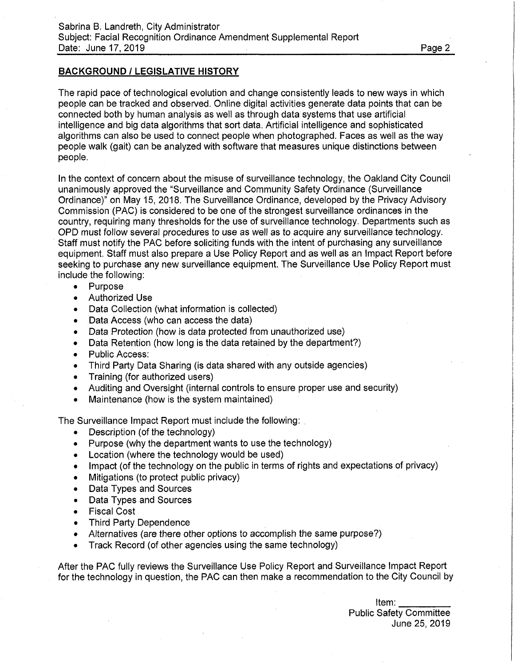# **BACKGROUND / LEGISLATIVE HISTORY**

The rapid pace of technological evolution and change consistently leads to new ways in which people can be tracked and observed. Online digital activities generate data points that can be connected both by human analysis as well as through data systems that use artificial intelligence and big data algorithms that sort data. Artificial intelligence and sophisticated algorithms can also be used to connect people when photographed. Faces as well as the way people walk (gait) can be analyzed with software that measures unique distinctions between people.

In the context of concern about the misuse of surveillance technology, the Oakland City Council unanimously approved the "Surveillance and Community Safety Ordinance (Surveillance Ordinance)" on May 15, 2018. The Surveillance Ordinance, developed by the Privacy Advisory Commission (PAC) is considered to be one of the strongest surveillance ordinances in the country, requiring many thresholds for the use of surveillance technology. Departments such as OPD must follow several procedures to use as well as to acquire any surveillance technology. Staff must notify the PAC before soliciting funds with the intent of purchasing any surveillance equipment. Staff must also prepare a Use Policy Report and as well as an Impact Report before seeking to purchase any new surveillance equipment. The Surveillance Use Policy Report must include the following:

- Purpose<br>• Authorize
- Authorized Use
- Data Collection (what information is collected)
- Data Access (who can access the data)
- Data Protection (how is data protected from unauthorized use)
- Data Retention (how long is the data retained by the department?)
- Public Access:
- Third Party Data Sharing (is data shared with any outside agencies)
- Training (for authorized users)
- Auditing and Oversight (internal controls to ensure proper use and security)
- Maintenance (how is the system maintained)

The Surveillance Impact Report must include the following: .

- Description (of the technology)
- Purpose (why the department wants to use the technology)
- Location (where the technology would be used)
- Impact (of the technology on the public in terms of rights and expectations of privacy)
- Mitigations (to protect public privacy)
- Data Types and Sources
- Data Types and Sources
- Fiscal Cost
- Third Party Dependence
- Alternatives (are there other options to accomplish the same purpose?)
- Track Record (of other agencies using the same technology)

After the PAC fully reviews the Surveillance Use Policy Report and Surveillance Impact Report for the technology in question, the PAC can then make a recommendation to the City Council by

> Item: Public Safety Committee June 25, 2019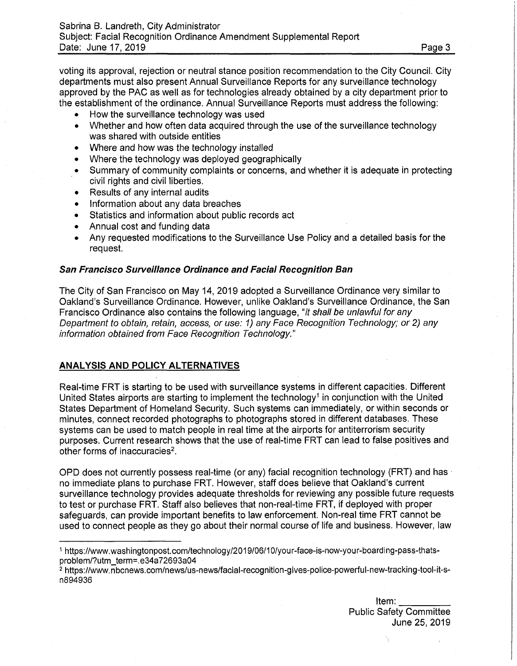voting its approval, rejection or neutral stance position recommendation to the City Council. City departments must also present Annual Surveillance Reports for any surveillance technology approved by the PAC as well as for technologies already obtained by a city department prior to the establishment of the ordinance. Annual Surveillance Reports must address the following:

- How the surveillance technology was used<br>• Whether and how often data acquired throu
- Whether and how often data acquired through the use of the surveillance technology was shared with outside entities
- Where and how was the technology installed
- Where the technology was deployed geographically
- Summary of community complaints or concerns, and whether it is adequate in protecting civil rights and civil liberties.
- Results of any internal audits
- Information about any data breaches
- Statistics and information about public records act
- Annual cost and funding data
- Any requested modifications to the Surveillance Use Policy and a detailed basis for the request.

#### *San Francisco Surveillance Ordinance and Facial Recognition Ban*

The City of San Francisco on May 14, 2019 adopted a Surveillance Ordinance very similar to Oakland's Surveillance Ordinance. However, unlike Oakland's Surveillance Ordinance, the San Francisco Ordinance also contains the following language, *"it shall be unlawful for any Department to obtain, retain, access, or use: 1) any Face Recognition Technology; or 2) any information obtained from Face Recognition Technology."*

#### **ANALYSIS AND POLICY ALTERNATIVES**

Real-time FRT is starting to be used with surveillance systems in different capacities. Different United States airports are starting to implement the technology<sup>1</sup> in conjunction with the United States Department of Homeland Security. Such systems can immediately, or within seconds or minutes, connect recorded photographs to photographs stored in different databases. These systems can be used to match people in real time at the airports for antiterrorism security purposes. Current research shows that the use of real-time FRT can lead to false positives and other forms of inaccuracies<sup>2</sup>.

OPD does not currently possess real-time (or any) facial recognition technology (FRT) and has no immediate plans to purchase FRT. However, staff does believe that Oakland's current surveillance technology provides adequate thresholds for reviewing any possible future requests to test or purchase FRT. Staff also believes that non-real-time FRT, if deployed with proper safeguards, can provide important benefits to law enforcement. Non-real time FRT cannot be used to connect people as they go about their normal course of life and business. However, law

<sup>1</sup> [https://www.washingtonpost.com/technology/2019/06/10/your-face-is-now-your-boarding-pass-thats](https://www.washingtonpost.com/technology/2019/06/10/your-face-is-now-your-boarding-pass-thats-problem/?utm_term=.e34a72693a04)[problem/?utm\\_term=.e34a72693a04](https://www.washingtonpost.com/technology/2019/06/10/your-face-is-now-your-boarding-pass-thats-problem/?utm_term=.e34a72693a04)

<sup>2</sup> [https://www.nbcnews.com/news/us-news/facial-recognition-gives-police-powerful-new-tracking-tool-it-s](https://www.nbcnews.com/news/us-news/facial-recognition-gives-police-powerful-new-tracking-tool-it-s-n894936)[n894936](https://www.nbcnews.com/news/us-news/facial-recognition-gives-police-powerful-new-tracking-tool-it-s-n894936)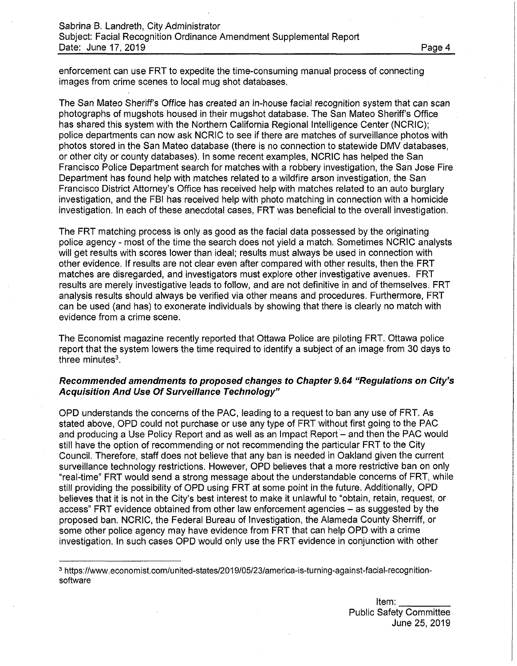enforcement can use FRT to expedite the time-consuming manual process of connecting images from crime scenes to local mug shot databases.

The San Mateo Sheriff's Office has created an in-house facial recognition system that can scan photographs of mugshots housed in their mugshot database. The San Mateo Sheriff's Office has shared this system with the Northern California Regional Intelligence Center (NCRIC); police departments can now ask NCRIC to see if there are matches of surveillance photos with photos stored in the San Mateo database (there is no connection to statewide DMV databases, or other city or county databases). In some recent examples, NCRIC has helped the San Francisco Police Department search for matches with a robbery investigation, the San Jose Fire Department has found help with matches related to a wildfire arson investigation, the San Francisco District Attorney's Office has received help with matches related to an auto burglary investigation, and the FBI has received help with photo matching in connection with a homicide investigation. In each of these anecdotal cases, FRT was beneficial to the overall investigation.

The FRT matching process is only as good as the facial data possessed by the originating police agency - most of the time the search does not yield a match. Sometimes NCRIC analysts will get results with scores lower than ideal; results must always be used in connection with other evidence. If results are not clear even after compared with other results, then the FRT matches are disregarded, and investigators must explore other investigative avenues. FRT results are merely investigative leads to follow, and are not definitive in and of themselves. FRT analysis results should always be verified via other means and procedures. Furthermore, FRT can be used (and has) to exonerate individuals by showing that there is clearly no match with evidence from a crime scene.

The Economist magazine recently reported that Ottawa Police are piloting FRT. Ottawa police report that the system lowers the time required to identify a subject of an image from 30 days to three minutes $3$ .

#### *Recommended amendments to proposed changes to Chapter 9.64 "Regulations on City's Acquisition And Use Of Surveillance Technology"*

OPD understands the concerns of the PAC, leading to a request to ban any use of FRT. As stated above, OPD could not purchase or use any type of FRT without first going to the PAC and producing a Use Policy Report and as well as an Impact Report – and then the PAC would still have the option of recommending or not recommending the particular FRT to the City Council. Therefore, staff does not believe that any ban is needed in Oakland given the current surveillance technology restrictions. However, OPD believes that a more restrictive ban on only "real-time" FRT would send a strong message about the understandable concerns of FRT, while still providing the possibility of OPD using FRT at some point in the future. Additionally, OPD believes that it is not in the City's best interest to make it unlawful to "obtain, retain, request, or access" FRT evidence obtained from other law enforcement agencies - as suggested by the proposed ban. NCRIC, the Federal Bureau of Investigation, the Alameda County Sherriff, or some other police agency may have evidence from FRT that can help OPD with a crime investigation. In such cases OPD would only use the FRT evidence in conjunction with other

<sup>3</sup> [https://www.economist.com/united-states/2019/05/23/america-is-turning-against-facial-recognition](https://www.economist.com/united-states/2019/05/23/america-is-turning-against-facial-recognition-software)[software](https://www.economist.com/united-states/2019/05/23/america-is-turning-against-facial-recognition-software)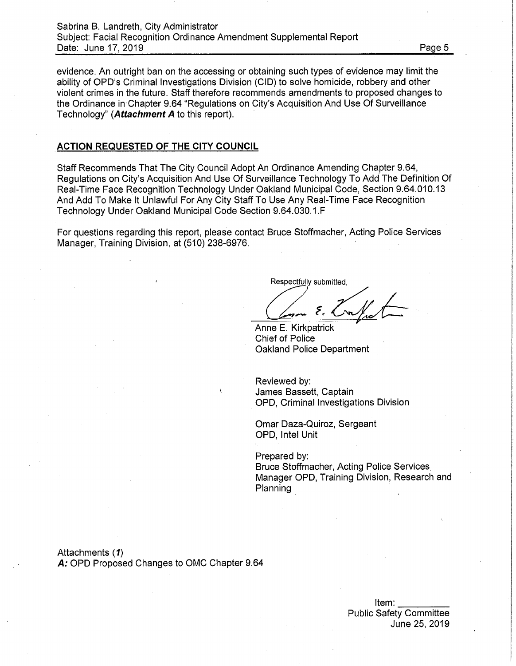#### Sabrina B. Landreth, City Administrator Subject: Facial Recognition Ordinance Amendment Supplemental Report Date: June 17, 2019 **Date: 2019 Date: 2019**

evidence. An outright ban on the accessing or obtaining such types of evidence may limit the ability of OPD's Criminal Investigations Division (CID) to solve homicide, robbery and other violent crimes in the future. Staff therefore recommends amendments to proposed changes to the Ordinance in Chapter 9.64 "Regulations on City's Acquisition And Use Of Surveillance Technology" (*Attachment A* to this report).

#### **ACTION REQUESTED OF THE CITY COUNCIL**

Staff Recommends That The City Council Adopt An Ordinance Amending Chapter 9.64, Regulations on City's Acquisition And Use Of Surveillance Technology To Add The Definition Of Real-Time Face Recognition Technology Under Oakland Municipal Code, Section 9.64.010.13 And Add To Make It Unlawful For Any City Staff To Use Any Real-Time Face Recognition Technology Under Oakland Municipal Code Section 9.64.030.1.F

For questions regarding this report, please contact Bruce Stoffmacher, Acting Police Services Manager, Training Division, at (510) 238-6976.

Respectfully submitted,

۶.  $\overline{v}$ 

Anne E. Kirkpatrick Chief of Police Oakland Police Department

Reviewed by: James Bassett, Captain OPD, Criminal Investigations Division

Omar Daza-Quiroz, Sergeant OPD, Intel Unit

Prepared by:

Bruce Stoffmacher, Acting Police Services Manager OPD, Training Division, Research and Planning

Attachments (*<sup>1</sup>)* A; OPD Proposed Changes to OMC Chapter 9.64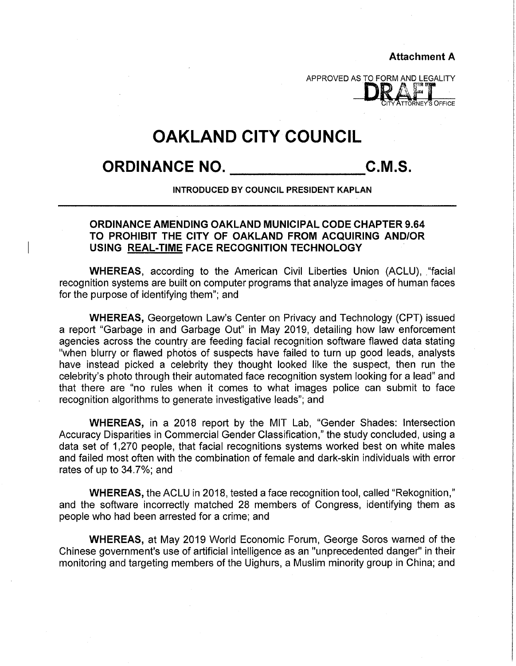**Attachment A**

**DRAFIN** 

**ORNEY'S OFFICE** 

# **OAKLAND CITY COUNCIL**

**ORDINANCE NO. C.M.S.**

**INTRODUCED BY COUNCIL PRESIDENT KAPLAN**

# **ORDINANCE AMENDING OAKLAND MUNICIPAL CODE CHAPTER 9.64 TO PROHIBIT THE CITY OF OAKLAND FROM ACQUIRING AND/OR USING REAL-TIME FACE RECOGNITION TECHNOLOGY**

**WHEREAS,** according to the American Civil Liberties Union (ACLU), "facial recognition systems are built on computer programs that analyze images of human faces for the purpose of identifying them"; and

**WHEREAS,** Georgetown Law's Center on Privacy and Technology (CPT) issued a report "Garbage in and Garbage Out" in May 2019, detailing how law enforcement agencies across the country are feeding facial recognition software flawed data stating "when blurry or flawed photos of suspects have failed to turn up good leads, analysts have instead picked a celebrity they thought looked like the suspect, then run the celebrity's photo through their automated face recognition system looking for a lead" and that there are "no rules when it comes to what images police can Submit to face recognition algorithms to generate investigative leads"; and

**WHEREAS,** in a 2018 report by the MIT Lab, "Gender Shades: Intersection Accuracy Disparities in Commercial Gender Classification," the study concluded, using a data set of 1,270 people, that facial recognitions systems worked best on white males and failed most often with the combination of female and dark-skin individuals with error rates of up to 34.7%; and

**WHEREAS,** the ACLU in 2018, tested a face recognition tool, called "Rekognition," and the software incorrectly matched 28 members of Congress, identifying them as people who had been arrested for a crime; and

**WHEREAS,** at May 2019 World Economic Forum, George Soros warned of the Chinese government's use of artificial intelligence as an "unprecedented danger" in their monitoring and targeting members of the Uighurs, a Muslim minority group in China; and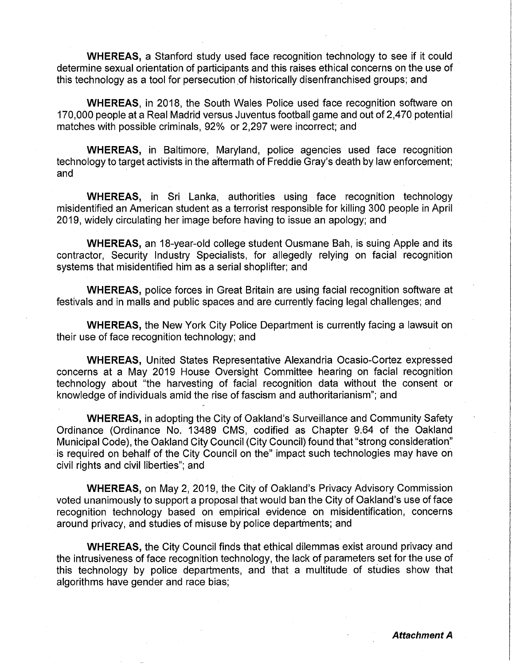**WHEREAS,** a Stanford study used face recognition technology to see if it could determine sexual orientation of participants and this raises ethical concerns on the use of this technology as a tool for persecution of historically disenfranchised groups; and

**WHEREAS,** in 2018, the South Wales Police used face recognition software on 170,000 people at a Real Madrid versus Juventus football game and out of 2,470 potential matches with possible criminals, 92% or 2,297 were incorrect; and

**WHEREAS,** in Baltimore, Maryland, police agencies used face recognition technology to target activists in the aftermath of Freddie Gray's death by law enforcement; and

**WHEREAS,** in Sri Lanka, authorities using face recognition technology misidentified an American student as a terrorist responsible for killing 300 people in April 2019, widely circulating her image before having to issue an apology; and

**WHEREAS,** an 18-year-old college student Ousmane Bah, is suing Apple and its contractor, Security Industry Specialists, for allegedly relying on facial recognition systems that misidentified him as a serial shoplifter; and

**WHEREAS,** police forces in Great Britain are using facial recognition software at festivals and in malls and public spaces and are currently facing legal challenges; and

**WHEREAS,** the New York City Police Department is currently facing a lawsuit on their use of face recognition technology; and

**WHEREAS,** United States Representative Alexandria Ocasio-Cortez expressed concerns at a May 2019 House Oversight Committee hearing on facial recognition technology about "the harvesting of facial recognition data without the consent or knowledge of individuals amid the rise of fascism and authoritarianism"; and

**WHEREAS,** in adopting the City of Oakland's Surveillance and Community Safety Ordinance (Ordinance No. 13489 CMS, codified as Chapter 9.64 of the Oakland Municipal Code), the Oakland City Council (City Council) found that "strong consideration" is required on behalf of the City Council on the" impact such technologies may have on civil rights and civil liberties"; and

**WHEREAS,** on May 2, 2019, the City of Oakland's Privacy Advisory Commission voted unanimously to support a proposal that would ban the City of Oakland's use of face recognition technology based on empirical evidence on misidentification, concerns around privacy, and studies of misuse by police departments; and

**WHEREAS,** the City Council finds that ethical dilemmas exist around privacy and the intrusiveness of face recognition technology, the lack of parameters set for the use of this technology by police departments, and that a multitude of studies show that algorithms have gender and race bias;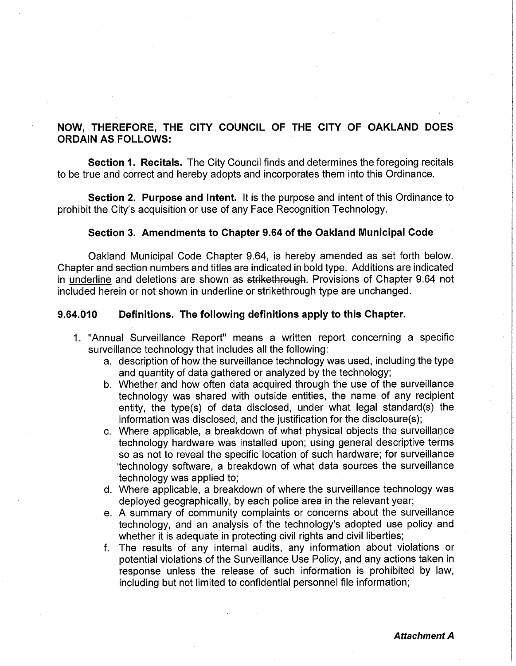# NOW, THEREFORE, THE CITY COUNCIL OF THE CITY OF OAKLAND DOES ORDAIN AS FOLLOWS:

**Section** 1. **Recitals.** The City Council finds and determines the foregoing recitals to be true and correct and hereby adopts and incorporates them into this Ordinance.

**Section 2. Purpose and Intent.** It is the purpose and intent of this Ordinance to prohibit the City's acquisition or use of any Face Recognition Technology.

#### **Section 3. Amendments to Chapter 9.64 of the Oakland Municipal Code**

Oakland Municipal Code Chapter 9.64, is hereby amended as set forth below. Chapter and section numbers and titles are indicated in bold type. Additions are indicated in underline and deletions are shown as strikethrough. Provisions of Chapter 9.64 not included herein or not shown in underline or strikethrough type are unchanged.

#### **9.64.010 Definitions. The following definitions apply to this Chapter.**

- 1. "Annual Surveillance Report" means a written report concerning a specific surveillance technology that includes all the following:
	- a. description of how the surveillance technology was used, including the type and quantity of data gathered or analyzed by the technology;
	- b. Whether and how often data acquired through the use of the surveillance technology was shared with outside entities, the name of any recipient entity, the type(s) of data disclosed, under what legal standard(s) the information was disclosed, and the justification for the disclosure(s);
	- c. Where applicable, a breakdown of what physical objects the surveillance technology hardware was installed upon; using general descriptive terms so as not to reveal the specific location of such hardware; for surveillance 'technology software, a breakdown of what data sources the surveillance technology was applied to;
	- d. Where applicable, a breakdown of where the surveillance technology was deployed geographically, by each police area in the relevant year;
	- e. A summary of community complaints or concerns about the surveillance technology, and an analysis of the technology's adopted use policy and whether it is adequate in protecting civil rights and civil liberties;
	- f. The results of any internal audits, any information about violations or potential violations of the Surveillance Use Policy, and any actions taken in response unless the release of such information is prohibited by law, including but not limited to confidential personnel file information;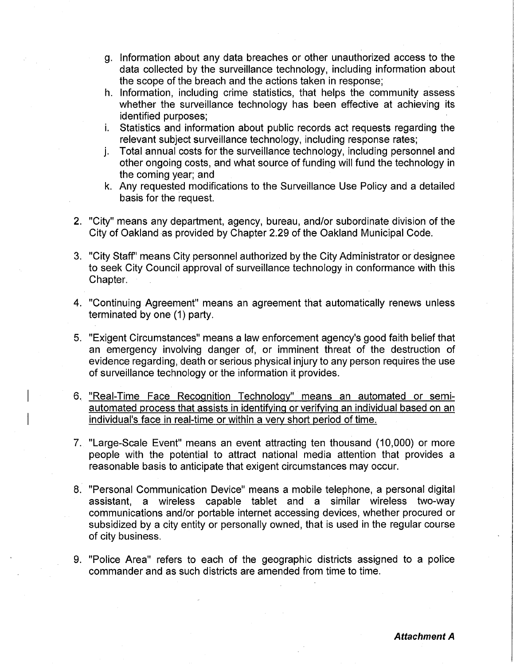- g. Information about any data breaches or other unauthorized access to the data collected by the surveillance technology, including information about the scope of the breach and the actions taken in response;
- h. Information, including crime statistics, that helps the community assess whether the surveillance technology has been effective at achieving its identified purposes;
- i. Statistics and information about public records act requests regarding the relevant subject surveillance technology, including response rates;
- j. Total annual costs for the surveillance technology, including personnel and other ongoing costs, and what source of funding will fund the technology in the coming year; and
- k. Any requested modifications to the Surveillance Use Policy and a detailed basis for the request.
- 2. "City" means any department, agency, bureau, and/or subordinate division of the City of Oakland as provided by Chapter 2.29 of the Oakland Municipal Code.
- 3. "City Staff' means City personnel authorized by the City Administrator or designee to seek City Council approval of surveillance technology in conformance with this Chapter.
- 4. "Continuing Agreement" means an agreement that automatically renews unless terminated by one (1) party.
- 5. "Exigent Circumstances" means a law enforcement agency's good faith belief that an emergency involving danger of, or imminent threat of the destruction of evidence regarding, death or serious physical injury to any person requires the use of surveillance technology or the information it provides.
- 6. "Real-Time Face Recognition Technology" means an automated or semiautomated process that assists in identifying or verifying an individual based on an individual's face in real-time or within a very short period of time.
- 7. "Large-Scale Event" means an event attracting ten thousand (10,000) or more people with the potential to attract national media attention that provides a reasonable basis to anticipate that exigent circumstances may occur.
- 8. "Personal Communication Device" means a mobile telephone, a personal digital assistant, a wireless capable tablet and a similar wireless two-way communications and/or portable internet accessing devices, whether procured or subsidized by a city entity or personally owned, that is used in the regular course of city business.
- 9. "Police Area" refers to each of the geographic districts assigned to a police commander and as such districts are amended from time to time.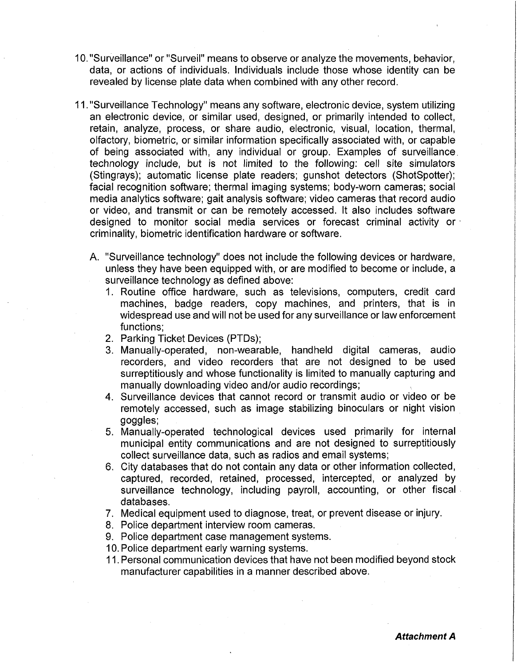- 10. "Surveillance" or "Surveil" means to observe or analyze the movements, behavior, data, or actions of individuals. Individuals include those whose identity can be revealed by license plate data when combined with any other record.
- 11 ."Surveillance Technology" means any software, electronic device, system utilizing an electronic device, or similar used, designed, or primarily intended to collect, retain, analyze, process, or share audio, electronic, visual, location, thermal, olfactory, biometric, or similar information specifically associated with, or capable of being associated with, any individual or group. Examples of surveillance technology include, but is not limited to the following: cell site simulators (Stingrays); automatic license plate readers; gunshot detectors (ShotSpotter); facial recognition software; thermal imaging systems; body-worn cameras; social media analytics software; gait analysis software; video cameras that record audio or video, and transmit or can be remotely accessed. It also includes software designed to monitor social media services or forecast criminal activity or criminality, biometric identification hardware or software.
	- A. "Surveillance technology" does not include the following devices or hardware, unless they have been equipped with, or are modified to become or include, a surveillance technology as defined above:
		- 1. Routine office hardware, such as televisions, computers, credit card machines, badge readers, copy machines, and printers, that is in widespread use and will not be used for any surveillance or law enforcement functions;
		- 2. Parking Ticket Devices (PTDs);
		- 3. Manually-operated, non-wearable, handheld digital cameras, audio recorders, and video recorders that are not designed to be used surreptitiously and whose functionality is limited to manually capturing and manually downloading video and/or audio recordings;
		- 4. Surveillance devices that cannot record or transmit audio or video or be remotely accessed, such as image stabilizing binoculars or night vision goggles;
		- 5. Manually-operated technological devices used primarily for internal municipal entity communications and are not designed to surreptitiously collect surveillance data, such as radios and email systems;
		- 6. City databases that do not contain any data or other information collected, captured, recorded, retained, processed, intercepted, or analyzed by surveillance technology, including payroll, accounting, or other fiscal databases.
		- 7. Medical equipment used to diagnose, treat, or prevent disease or injury.
		- 8. Police department interview room cameras.
		- 9. Police department case management systems.
		- 10. Police department early warning systems.
		- 11. Personal communication devices that have not been modified beyond stock manufacturer capabilities in a manner described above.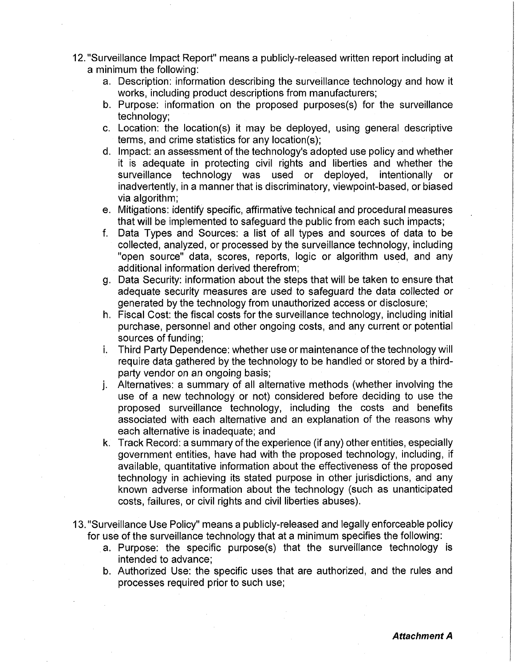- 12. "Surveillance Impact Report" means a publicly-released written report including at a minimum the following:
	- a. Description: information describing the surveillance technology and how it works, including product descriptions from manufacturers;
	- b. Purpose: information on the proposed purposes(s) for the surveillance technology;
	- c. Location: the location(s) it may be deployed, using general descriptive terms, and crime statistics for any location(s);
	- d. Impact: an assessment of the technology's adopted use policy and whether it is adequate in protecting civil rights and liberties and whether the surveillance technology was used or deployed, intentionally or inadvertently, in a manner that is discriminatory, viewpoint-based, or biased via algorithm;
	- e. Mitigations: identify specific, affirmative technical and procedural measures that will be implemented to safeguard the public from each such impacts;
	- f. Data Types and Sources: a list of all types and sources of data to be collected, analyzed, or processed by the surveillance technology, including "open source" data, scores, reports, logic or algorithm used, and any additional information derived therefrom;
	- g. Data Security: information about the steps that will be taken to ensure that adequate security measures are used to safeguard the data collected or generated by the technology from unauthorized access or disclosure;
	- h. Fiscal Cost: the fiscal costs for the surveillance technology, including initial purchase, personnel and other ongoing costs, and any current or potential sources of funding;
	- i. Third Party Dependence: whether use or maintenance of the technology will require data gathered by the technology to be handled or stored by a thirdparty vendor on an ongoing basis;
	- j. Alternatives: a summary of all alternative methods (whether involving the use of a new technology or not) considered before deciding to use the proposed surveillance technology, including the costs and benefits associated with each alternative and an explanation of the reasons why each alternative is inadequate; and
	- k. Track Record: a summary of the experience (if any) other entities, especially government entities, have had with the proposed technology, including, if available, quantitative information about the effectiveness of the proposed technology in achieving its stated purpose in other jurisdictions, and any known adverse information about the technology (such as unanticipated costs, failures, or civil rights and civil liberties abuses).
- 13. "Surveillance Use Policy" means a publicly-released and legally enforceable policy for use of the surveillance technology that at a minimum specifies the following:
	- a. Purpose: the specific purpose(s) that the surveillance technology is intended to advance;
	- b. Authorized Use: the specific uses that are authorized, and the rules and processes required prior to such use;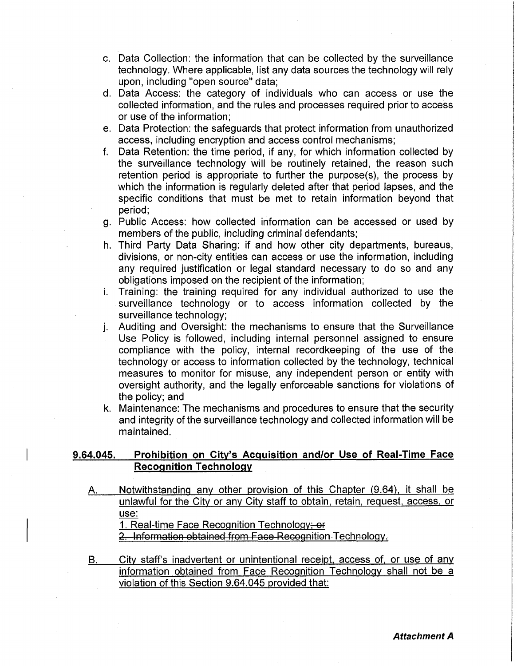- c. Data Collection: the information that can be collected by the surveillance technology. Where applicable, list any data sources the technology will rely upon, including "open source" data;
- d. Data Access: the category of individuals who can access or use the collected information, and the rules and processes required prior to access or use of the information;
- e. Data Protection: the safeguards that protect information from unauthorized access, including encryption and access control mechanisms;
- f. Data Retention: the time period, if any, for which information collected by the surveillance technology will be routinely retained, the reason such retention period is appropriate to further the purpose(s), the process by which the information is regularly deleted after that period lapses, and the specific conditions that must be met to retain information beyond that period;
- g. Public Access: how collected information can be accessed or used by members of the public, including criminal defendants;
- h. Third Party Data Sharing: if and how other city departments, bureaus, divisions, or non-city entities can access or use the information, including any required justification or legal standard necessary to do so and any obligations imposed on the recipient of the information;
- Training: the training required for any individual authorized to use the surveillance technology or to access information collected by the surveillance technology; **i.**
- Auditing and Oversight: the mechanisms to ensure that the Surveillance Use Policy is followed, including internal personnel assigned to ensure compliance with the policy, internal recordkeeping of the use of the technology or access to information collected by the technology, technical measures to monitor for misuse, any independent person or entity with oversight authority, and the legally enforceable sanctions for violations of the policy; and J-
- k. Maintenance: The mechanisms and procedures to ensure that the security and integrity of the surveillance technology and collected information will be maintained.

# **9.64.045. Prohibition on City's Acquisition and/or Use of Real-Time Face Recognition Technology**

Notwithstanding any other provision of this Chapter (9.64), it shall be unlawful for the City or any City staff to obtain, retain, request, access, or A. use:

1. Real-time Face Recognition Technology; or

2. Information obtained from Face Recognition-Technology.

City staff's inadvertent or unintentional receipt, access of, or use of any information obtained from Face Recognition Technology shall not be a violation of this Section 9.64.045 provided that: B.